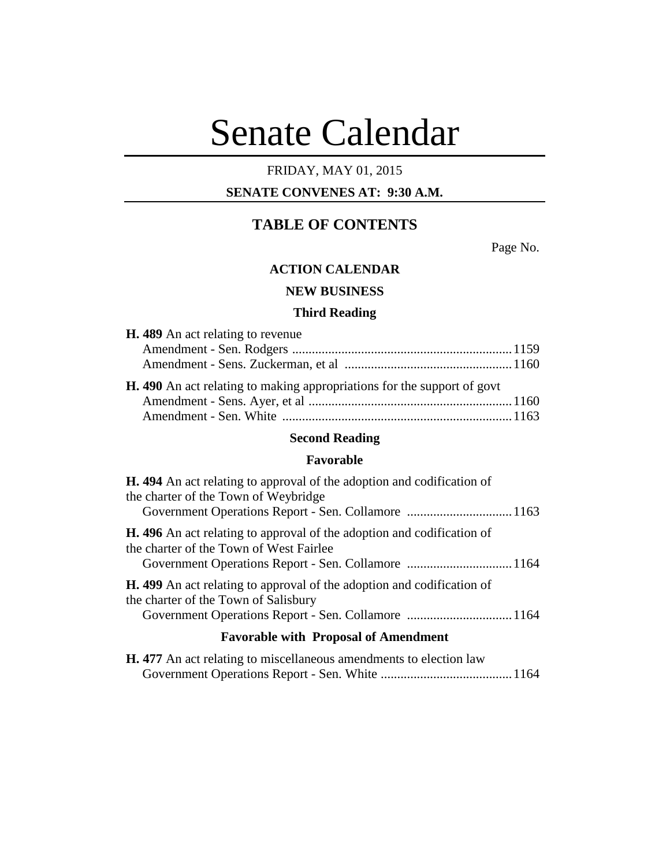# Senate Calendar

# FRIDAY, MAY 01, 2015

# **SENATE CONVENES AT: 9:30 A.M.**

# **TABLE OF CONTENTS**

Page No.

## **ACTION CALENDAR**

# **NEW BUSINESS**

#### **Third Reading**

| H. 489 An act relating to revenue                                              |  |
|--------------------------------------------------------------------------------|--|
|                                                                                |  |
|                                                                                |  |
| <b>H.</b> 490 An act relating to making appropriations for the support of govt |  |
|                                                                                |  |

# **Second Reading**

Amendment - Sen. White ......................................................................1163

#### **Favorable**

| <b>H.</b> 494 An act relating to approval of the adoption and codification of<br>the charter of the Town of Weybridge    |
|--------------------------------------------------------------------------------------------------------------------------|
| <b>H.</b> 496 An act relating to approval of the adoption and codification of<br>the charter of the Town of West Fairlee |
| <b>H.</b> 499 An act relating to approval of the adoption and codification of<br>the charter of the Town of Salisbury    |
| <b>Favorable with Proposal of Amendment</b>                                                                              |
| <b>H.</b> 477 An act relating to miscellaneous amendments to election law                                                |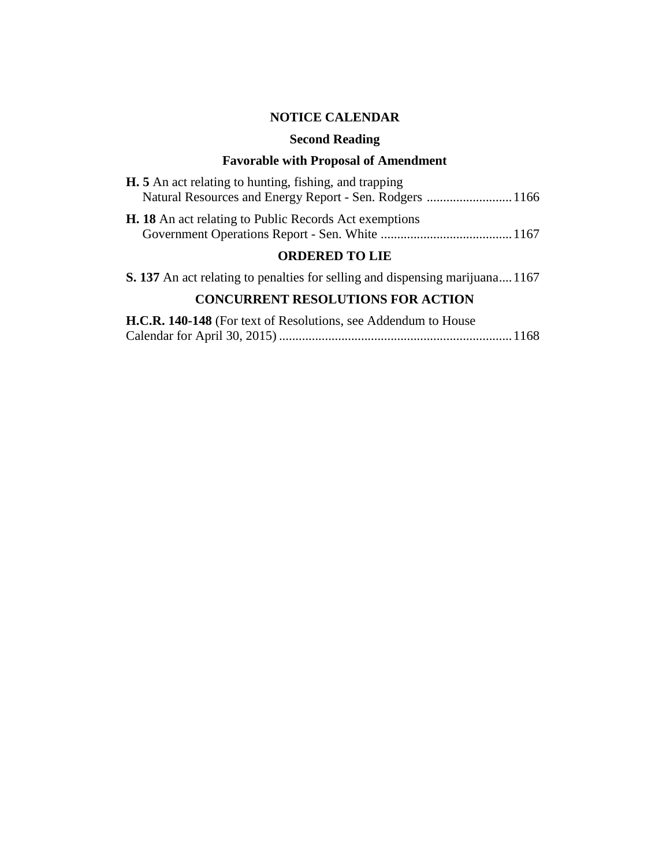# **NOTICE CALENDAR**

# **Second Reading**

# **Favorable with Proposal of Amendment**

| <b>H.</b> 5 An act relating to hunting, fishing, and trapping |  |  |  |
|---------------------------------------------------------------|--|--|--|
| Natural Resources and Energy Report - Sen. Rodgers  1166      |  |  |  |
| <b>H. 18</b> An act relating to Public Records Act exemptions |  |  |  |
| ADDRDRD 40 LIR                                                |  |  |  |

# **ORDERED TO LIE**

**S. 137** An act relating to penalties for selling and dispensing marijuana....1167

# **CONCURRENT RESOLUTIONS FOR ACTION**

| H.C.R. 140-148 (For text of Resolutions, see Addendum to House |  |
|----------------------------------------------------------------|--|
|                                                                |  |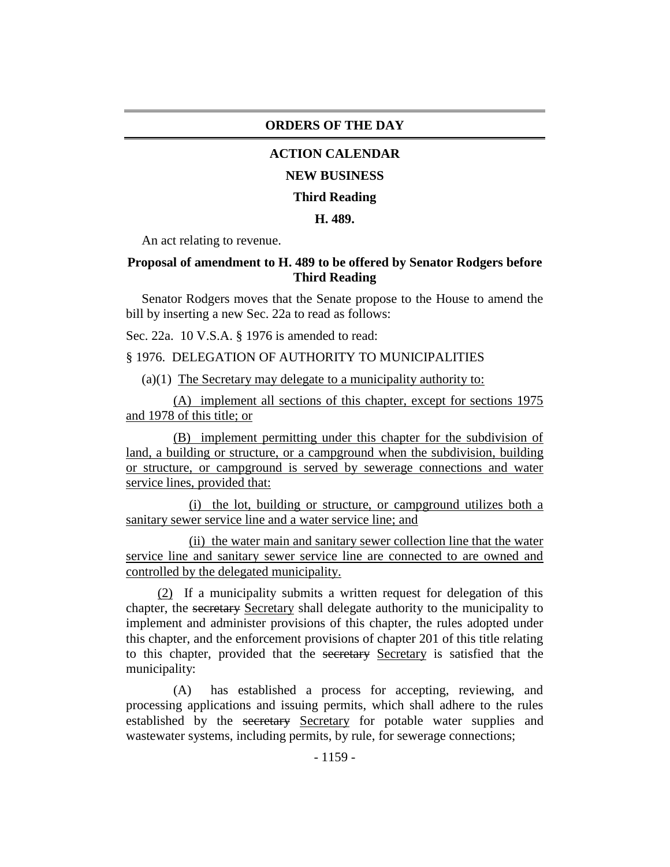#### **ORDERS OF THE DAY**

#### **ACTION CALENDAR**

#### **NEW BUSINESS**

#### **Third Reading**

#### **H. 489.**

An act relating to revenue.

## **Proposal of amendment to H. 489 to be offered by Senator Rodgers before Third Reading**

Senator Rodgers moves that the Senate propose to the House to amend the bill by inserting a new Sec. 22a to read as follows:

Sec. 22a. 10 V.S.A. § 1976 is amended to read:

## § 1976. DELEGATION OF AUTHORITY TO MUNICIPALITIES

(a)(1) The Secretary may delegate to a municipality authority to:

(A) implement all sections of this chapter, except for sections 1975 and 1978 of this title; or

(B) implement permitting under this chapter for the subdivision of land, a building or structure, or a campground when the subdivision, building or structure, or campground is served by sewerage connections and water service lines, provided that:

(i) the lot, building or structure, or campground utilizes both a sanitary sewer service line and a water service line; and

(ii) the water main and sanitary sewer collection line that the water service line and sanitary sewer service line are connected to are owned and controlled by the delegated municipality.

(2) If a municipality submits a written request for delegation of this chapter, the secretary Secretary shall delegate authority to the municipality to implement and administer provisions of this chapter, the rules adopted under this chapter, and the enforcement provisions of chapter 201 of this title relating to this chapter, provided that the secretary Secretary is satisfied that the municipality:

(A) has established a process for accepting, reviewing, and processing applications and issuing permits, which shall adhere to the rules established by the secretary Secretary for potable water supplies and wastewater systems, including permits, by rule, for sewerage connections;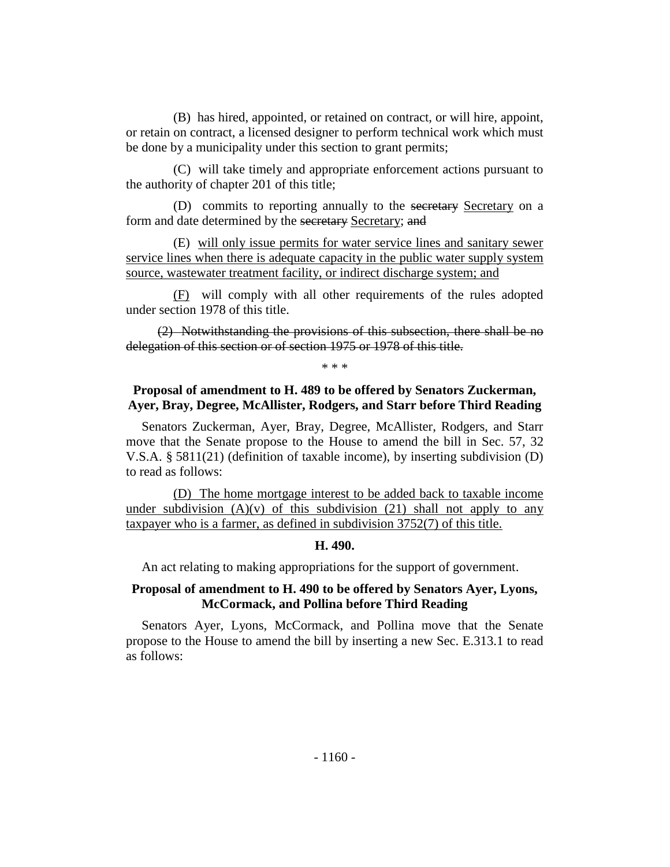(B) has hired, appointed, or retained on contract, or will hire, appoint, or retain on contract, a licensed designer to perform technical work which must be done by a municipality under this section to grant permits;

(C) will take timely and appropriate enforcement actions pursuant to the authority of chapter 201 of this title;

(D) commits to reporting annually to the secretary Secretary on a form and date determined by the secretary Secretary; and

(E) will only issue permits for water service lines and sanitary sewer service lines when there is adequate capacity in the public water supply system source, wastewater treatment facility, or indirect discharge system; and

(F) will comply with all other requirements of the rules adopted under section 1978 of this title.

(2) Notwithstanding the provisions of this subsection, there shall be no delegation of this section or of section 1975 or 1978 of this title.

\* \* \*

# **Proposal of amendment to H. 489 to be offered by Senators Zuckerman, Ayer, Bray, Degree, McAllister, Rodgers, and Starr before Third Reading**

Senators Zuckerman, Ayer, Bray, Degree, McAllister, Rodgers, and Starr move that the Senate propose to the House to amend the bill in Sec. 57, 32 V.S.A. § 5811(21) (definition of taxable income), by inserting subdivision (D) to read as follows:

(D) The home mortgage interest to be added back to taxable income under subdivision  $(A)(v)$  of this subdivision (21) shall not apply to any taxpayer who is a farmer, as defined in subdivision 3752(7) of this title.

#### **H. 490.**

An act relating to making appropriations for the support of government.

# **Proposal of amendment to H. 490 to be offered by Senators Ayer, Lyons, McCormack, and Pollina before Third Reading**

Senators Ayer, Lyons, McCormack, and Pollina move that the Senate propose to the House to amend the bill by inserting a new Sec. E.313.1 to read as follows: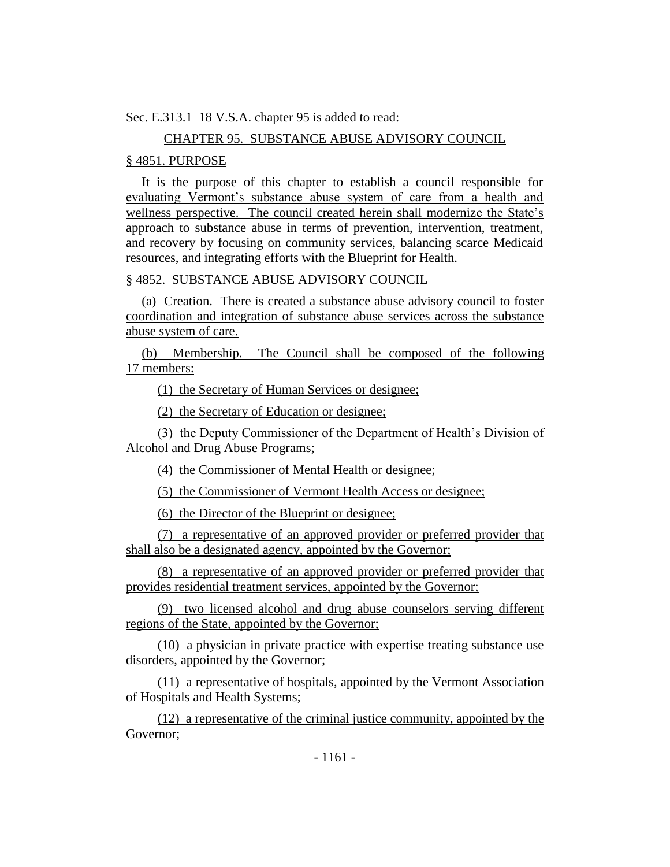Sec. E.313.1 18 V.S.A. chapter 95 is added to read:

# CHAPTER 95. SUBSTANCE ABUSE ADVISORY COUNCIL

# § 4851. PURPOSE

It is the purpose of this chapter to establish a council responsible for evaluating Vermont's substance abuse system of care from a health and wellness perspective. The council created herein shall modernize the State's approach to substance abuse in terms of prevention, intervention, treatment, and recovery by focusing on community services, balancing scarce Medicaid resources, and integrating efforts with the Blueprint for Health.

# § 4852. SUBSTANCE ABUSE ADVISORY COUNCIL

(a) Creation. There is created a substance abuse advisory council to foster coordination and integration of substance abuse services across the substance abuse system of care.

(b) Membership. The Council shall be composed of the following 17 members:

(1) the Secretary of Human Services or designee;

(2) the Secretary of Education or designee;

(3) the Deputy Commissioner of the Department of Health's Division of Alcohol and Drug Abuse Programs;

(4) the Commissioner of Mental Health or designee;

(5) the Commissioner of Vermont Health Access or designee;

(6) the Director of the Blueprint or designee;

(7) a representative of an approved provider or preferred provider that shall also be a designated agency, appointed by the Governor;

(8) a representative of an approved provider or preferred provider that provides residential treatment services, appointed by the Governor;

(9) two licensed alcohol and drug abuse counselors serving different regions of the State, appointed by the Governor;

(10) a physician in private practice with expertise treating substance use disorders, appointed by the Governor;

(11) a representative of hospitals, appointed by the Vermont Association of Hospitals and Health Systems;

(12) a representative of the criminal justice community, appointed by the Governor;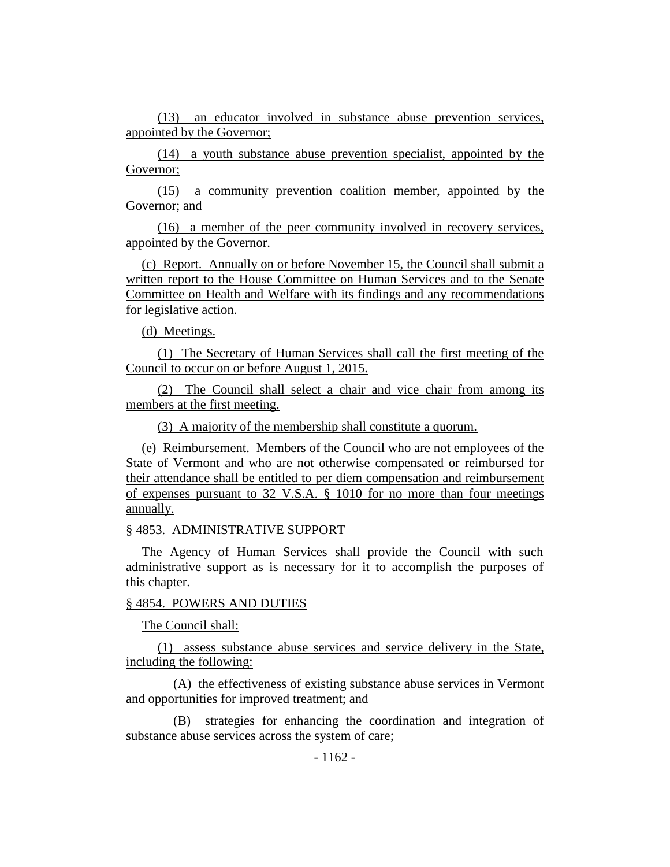(13) an educator involved in substance abuse prevention services, appointed by the Governor;

(14) a youth substance abuse prevention specialist, appointed by the Governor;

(15) a community prevention coalition member, appointed by the Governor; and

(16) a member of the peer community involved in recovery services, appointed by the Governor.

(c) Report. Annually on or before November 15, the Council shall submit a written report to the House Committee on Human Services and to the Senate Committee on Health and Welfare with its findings and any recommendations for legislative action.

(d) Meetings.

(1) The Secretary of Human Services shall call the first meeting of the Council to occur on or before August 1, 2015.

(2) The Council shall select a chair and vice chair from among its members at the first meeting.

(3) A majority of the membership shall constitute a quorum.

(e) Reimbursement. Members of the Council who are not employees of the State of Vermont and who are not otherwise compensated or reimbursed for their attendance shall be entitled to per diem compensation and reimbursement of expenses pursuant to 32 V.S.A. § 1010 for no more than four meetings annually.

§ 4853. ADMINISTRATIVE SUPPORT

The Agency of Human Services shall provide the Council with such administrative support as is necessary for it to accomplish the purposes of this chapter.

#### § 4854. POWERS AND DUTIES

The Council shall:

(1) assess substance abuse services and service delivery in the State, including the following:

(A) the effectiveness of existing substance abuse services in Vermont and opportunities for improved treatment; and

(B) strategies for enhancing the coordination and integration of substance abuse services across the system of care;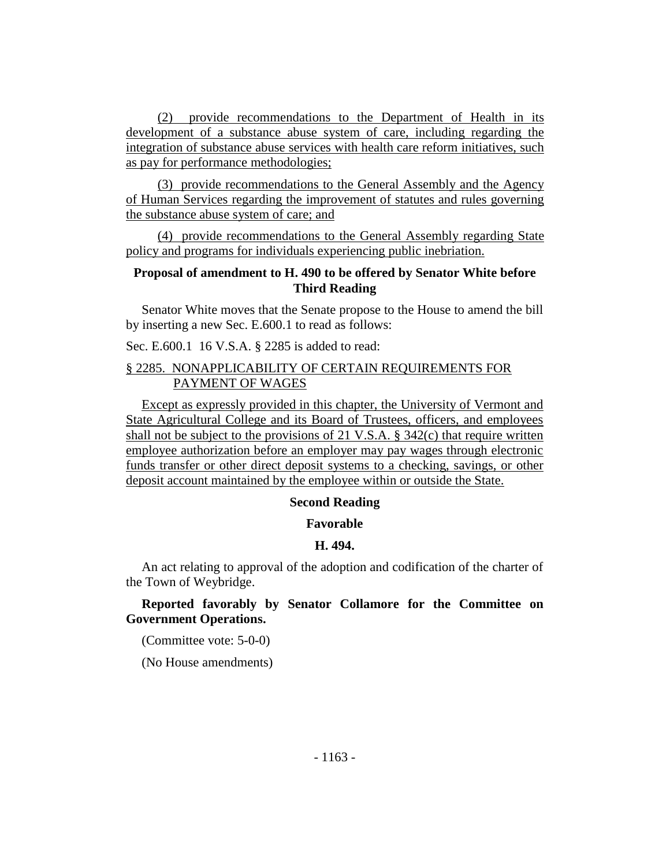(2) provide recommendations to the Department of Health in its development of a substance abuse system of care, including regarding the integration of substance abuse services with health care reform initiatives, such as pay for performance methodologies;

(3) provide recommendations to the General Assembly and the Agency of Human Services regarding the improvement of statutes and rules governing the substance abuse system of care; and

(4) provide recommendations to the General Assembly regarding State policy and programs for individuals experiencing public inebriation.

## **Proposal of amendment to H. 490 to be offered by Senator White before Third Reading**

Senator White moves that the Senate propose to the House to amend the bill by inserting a new Sec. E.600.1 to read as follows:

Sec. E.600.1 16 V.S.A. § 2285 is added to read:

# § 2285. NONAPPLICABILITY OF CERTAIN REQUIREMENTS FOR PAYMENT OF WAGES

Except as expressly provided in this chapter, the University of Vermont and State Agricultural College and its Board of Trustees, officers, and employees shall not be subject to the provisions of 21 V.S.A.  $\S$  342(c) that require written employee authorization before an employer may pay wages through electronic funds transfer or other direct deposit systems to a checking, savings, or other deposit account maintained by the employee within or outside the State.

#### **Second Reading**

#### **Favorable**

#### **H. 494.**

An act relating to approval of the adoption and codification of the charter of the Town of Weybridge.

## **Reported favorably by Senator Collamore for the Committee on Government Operations.**

(Committee vote: 5-0-0)

(No House amendments)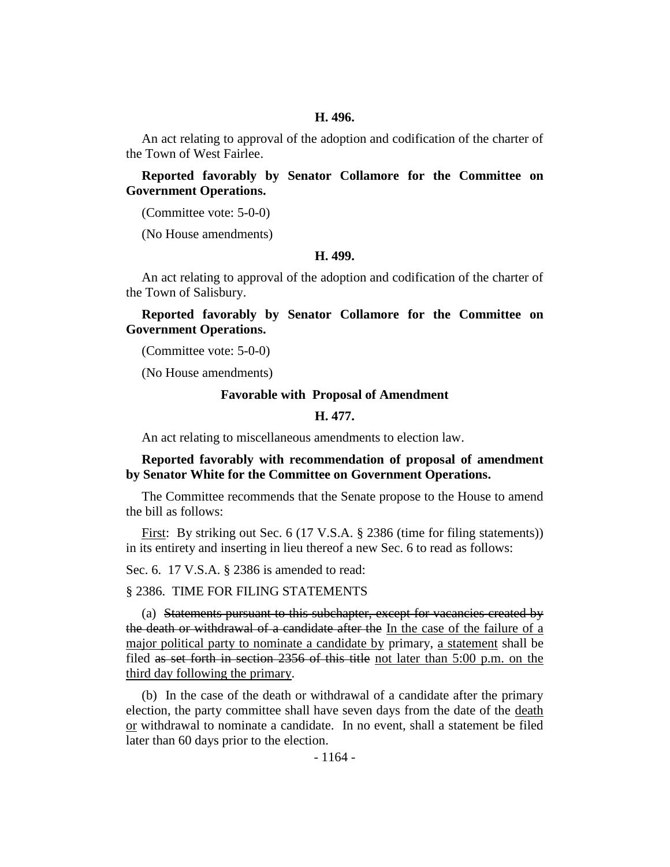#### **H. 496.**

An act relating to approval of the adoption and codification of the charter of the Town of West Fairlee.

**Reported favorably by Senator Collamore for the Committee on Government Operations.**

(Committee vote: 5-0-0)

(No House amendments)

#### **H. 499.**

An act relating to approval of the adoption and codification of the charter of the Town of Salisbury.

**Reported favorably by Senator Collamore for the Committee on Government Operations.**

(Committee vote: 5-0-0)

(No House amendments)

#### **Favorable with Proposal of Amendment**

# **H. 477.**

An act relating to miscellaneous amendments to election law.

## **Reported favorably with recommendation of proposal of amendment by Senator White for the Committee on Government Operations.**

The Committee recommends that the Senate propose to the House to amend the bill as follows:

First: By striking out Sec. 6 (17 V.S.A. § 2386 (time for filing statements)) in its entirety and inserting in lieu thereof a new Sec. 6 to read as follows:

Sec. 6. 17 V.S.A. § 2386 is amended to read:

#### § 2386. TIME FOR FILING STATEMENTS

(a) Statements pursuant to this subchapter, except for vacancies created by the death or withdrawal of a candidate after the In the case of the failure of a major political party to nominate a candidate by primary, a statement shall be filed as set forth in section 2356 of this title not later than 5:00 p.m. on the third day following the primary.

(b) In the case of the death or withdrawal of a candidate after the primary election, the party committee shall have seven days from the date of the death or withdrawal to nominate a candidate. In no event, shall a statement be filed later than 60 days prior to the election.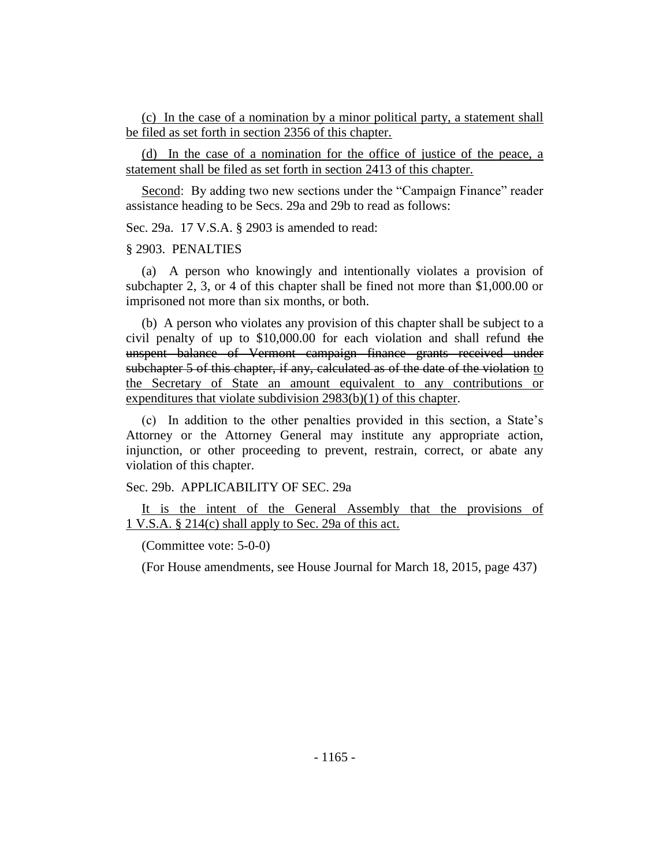(c) In the case of a nomination by a minor political party, a statement shall be filed as set forth in section 2356 of this chapter.

(d) In the case of a nomination for the office of justice of the peace, a statement shall be filed as set forth in section 2413 of this chapter.

Second: By adding two new sections under the "Campaign Finance" reader assistance heading to be Secs. 29a and 29b to read as follows:

Sec. 29a. 17 V.S.A. § 2903 is amended to read:

#### § 2903. PENALTIES

(a) A person who knowingly and intentionally violates a provision of subchapter 2, 3, or 4 of this chapter shall be fined not more than \$1,000.00 or imprisoned not more than six months, or both.

(b) A person who violates any provision of this chapter shall be subject to a civil penalty of up to \$10,000.00 for each violation and shall refund the unspent balance of Vermont campaign finance grants received under subchapter 5 of this chapter, if any, calculated as of the date of the violation to the Secretary of State an amount equivalent to any contributions or expenditures that violate subdivision 2983(b)(1) of this chapter.

(c) In addition to the other penalties provided in this section, a State's Attorney or the Attorney General may institute any appropriate action, injunction, or other proceeding to prevent, restrain, correct, or abate any violation of this chapter.

Sec. 29b. APPLICABILITY OF SEC. 29a

It is the intent of the General Assembly that the provisions of 1 V.S.A. § 214(c) shall apply to Sec. 29a of this act.

(Committee vote: 5-0-0)

(For House amendments, see House Journal for March 18, 2015, page 437)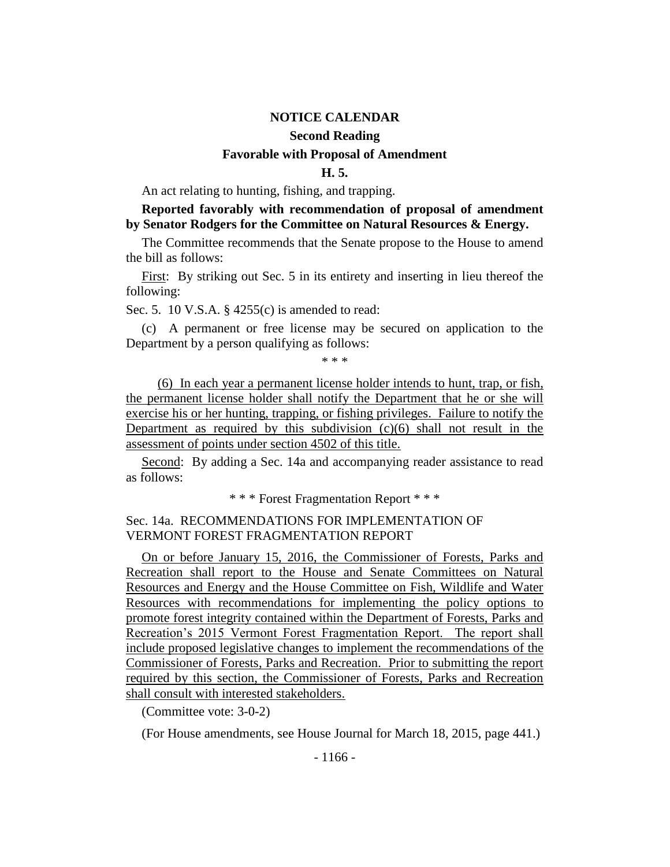# **NOTICE CALENDAR Second Reading Favorable with Proposal of Amendment**

#### **H. 5.**

An act relating to hunting, fishing, and trapping.

# **Reported favorably with recommendation of proposal of amendment by Senator Rodgers for the Committee on Natural Resources & Energy.**

The Committee recommends that the Senate propose to the House to amend the bill as follows:

First: By striking out Sec. 5 in its entirety and inserting in lieu thereof the following:

Sec. 5. 10 V.S.A. § 4255(c) is amended to read:

(c) A permanent or free license may be secured on application to the Department by a person qualifying as follows:

\* \* \*

(6) In each year a permanent license holder intends to hunt, trap, or fish, the permanent license holder shall notify the Department that he or she will exercise his or her hunting, trapping, or fishing privileges. Failure to notify the Department as required by this subdivision  $(c)(6)$  shall not result in the assessment of points under section 4502 of this title.

Second: By adding a Sec. 14a and accompanying reader assistance to read as follows:

\* \* \* Forest Fragmentation Report \* \* \*

# Sec. 14a. RECOMMENDATIONS FOR IMPLEMENTATION OF VERMONT FOREST FRAGMENTATION REPORT

On or before January 15, 2016, the Commissioner of Forests, Parks and Recreation shall report to the House and Senate Committees on Natural Resources and Energy and the House Committee on Fish, Wildlife and Water Resources with recommendations for implementing the policy options to promote forest integrity contained within the Department of Forests, Parks and Recreation's 2015 Vermont Forest Fragmentation Report. The report shall include proposed legislative changes to implement the recommendations of the Commissioner of Forests, Parks and Recreation. Prior to submitting the report required by this section, the Commissioner of Forests, Parks and Recreation shall consult with interested stakeholders.

(Committee vote: 3-0-2)

(For House amendments, see House Journal for March 18, 2015, page 441.)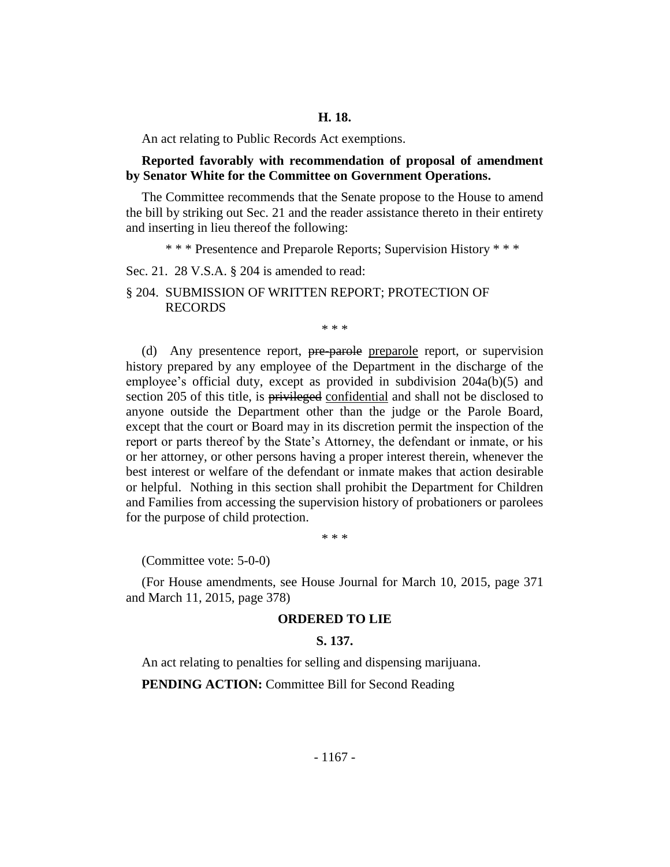An act relating to Public Records Act exemptions.

#### **Reported favorably with recommendation of proposal of amendment by Senator White for the Committee on Government Operations.**

The Committee recommends that the Senate propose to the House to amend the bill by striking out Sec. 21 and the reader assistance thereto in their entirety and inserting in lieu thereof the following:

\* \* \* Presentence and Preparole Reports; Supervision History \* \* \*

Sec. 21. 28 V.S.A. § 204 is amended to read:

§ 204. SUBMISSION OF WRITTEN REPORT; PROTECTION OF RECORDS

\* \* \*

(d) Any presentence report, pre-parole preparole report, or supervision history prepared by any employee of the Department in the discharge of the employee's official duty, except as provided in subdivision 204a(b)(5) and section 205 of this title, is privileged confidential and shall not be disclosed to anyone outside the Department other than the judge or the Parole Board, except that the court or Board may in its discretion permit the inspection of the report or parts thereof by the State's Attorney, the defendant or inmate, or his or her attorney, or other persons having a proper interest therein, whenever the best interest or welfare of the defendant or inmate makes that action desirable or helpful. Nothing in this section shall prohibit the Department for Children and Families from accessing the supervision history of probationers or parolees for the purpose of child protection.

\* \* \*

(Committee vote: 5-0-0)

(For House amendments, see House Journal for March 10, 2015, page 371 and March 11, 2015, page 378)

#### **ORDERED TO LIE**

#### **S. 137.**

An act relating to penalties for selling and dispensing marijuana.

**PENDING ACTION:** Committee Bill for Second Reading